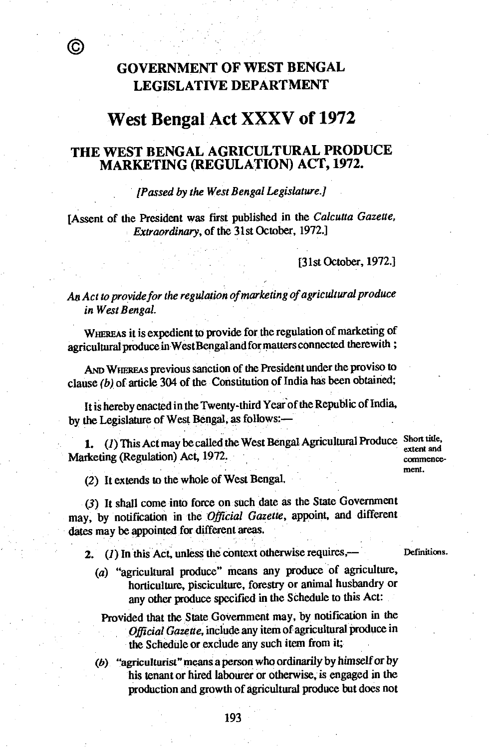С

## **GOVERNMENT OF WEST BENGAL LEGISLATIVE DEPARTMENT**

# **West Bengal Act XXXV of 1972**

#### **THE WEST BENGAL AGRICULTURAL PRODUCE MARKETING (REGULATION) ACT, 1972.**

#### *[Passed by the West Bengal Legislature.]*

[Assent of the President was first published in the *Calcutta Gazette, Extraordinary,* of the 31st October, 1972.]

[31st October, 1972.]

An *Act to provide for the regulation of marketing of agricultural produce in West Bengal.* 

**WHEREAS it** is expedient to provide for the regulation of marketing of agricultural produce in West Bengal and for matters connected therewith ;

**AND WHEREAS** previous sanction of the President under the proviso to clause *(b)* of article 304 of the Constitution of India has been obtained;

It is hereby enacted in the Twenty-third Year of the Republic of India, by the Legislature of West Bengal, as follows:-

1. (1) This Act may be called the West Bengal Agricultural Produce Short title, Marketing (Regulation) Act, 1972.

extent and commencement.

(2) It extends to the whole of West Bengal.

(3) It shall come into force on such date as the State Government may, by notification in the *Official Gazette,* appoint, and different dates may be appointed for different areas.

2.  $(I)$  In this Act, unless the context otherwise requires, Definitions.

(a) "agricultural produce" means any produce of agriculture, horticulture, pisciculture, forestry or animal husbandry or any other produce specified in the Schedule to this Act:

Provided that the State Government may, by notification in the *Official Gazette,* include any item of agricultural produce in the Schedule or exclude any such item from it;

*(b).* "agriculturist" means a person who ordinarily by himself or by his tenant or hired labourer or otherwise, is engaged in the production and growth of agricultural produce but does not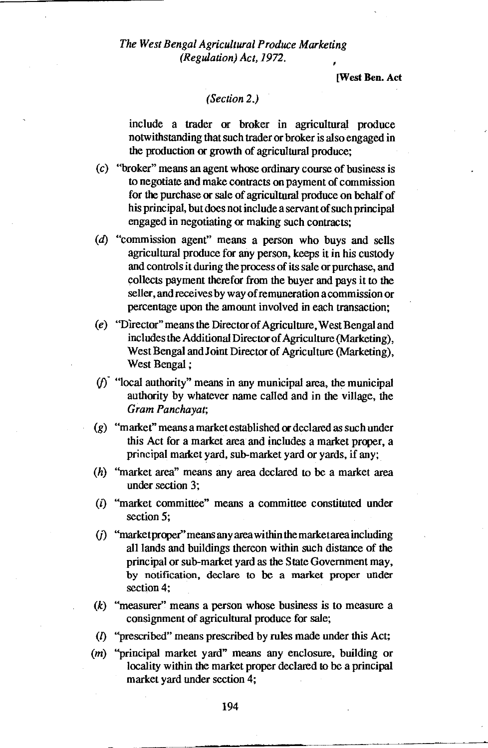[West Ben. Act

#### *(Section 2.)*

include a trader or broker in agricultural produce notwithstanding that such trader or broker is also engaged in the production or growth of agricultural produce;

- (c) "broker" means an agent whose ordinary course of business is to negotiate and make contracts on payment of commission for the purchase or sale of agricultural produce on behalf of his principal, but does not include a servant of such principal engaged in negotiating or making such contracts;
- (d) "commission agent" means a person who buys and sells agricultural produce for any person, keeps it in his custody and controls it during the process of its sale or purchase, and collects payment therefor from the buyer and pays it to the seller, and receives by way of remuneration a commission or percentage upon the amount involved in each transaction;
- (e) "Director" means the Director of Agriculture, West Bengal and includes the Additional Director of Agriculture (Marketing), West Bengal and Joint Director of Agriculture (Marketing), West Bengal ;
- $(f)$  "local authority" means in any municipal area, the municipal authority by whatever name called and in the village, the *Gram Panchayat;*
- (g) "market" means a market established or declared as such under this Act for a market area and includes a market proper, a principal market yard, sub-market yard or yards, if any;
- (h) "market area" means any area declared to be a market area under section 3;
- (i) "market committee" means a committee constituted under section 5;
- *(i)* "marketproper" means any area within the market area including all lands and buildings thereon within such distance of the principal or sub-market yard as the State Government may, by notification, declare to be a market proper under section 4;
- *(k)* "measurer" means a person whose business is to measure a consignment of agricultural produce for sale;
- *(1)* "prescribed" means prescribed by rules made under this Act;
- (m) "principal market yard" means any enclosure, building or locality within the market proper declared to be a principal market yard under section 4;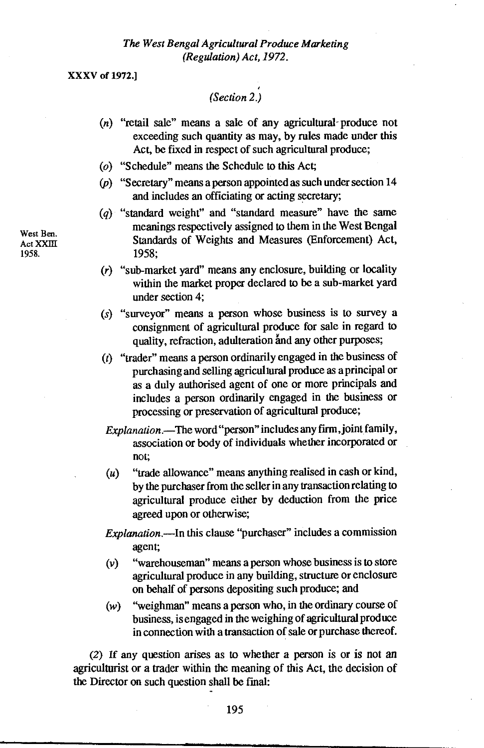XXXV of 1972.]

### *(Section 2.)*

- (n) "retail sale" means a sale of any agricultural- produce not exceeding such quantity as may, by rules made under this Act, be fixed in respect of such agricultural produce;
- (o) "Schedule" means the Schedule to this Act;
- (p) "Secretary" means a person appointed as such under section 14 and includes an officiating or acting secretary;
- (q) "standard weight" and "standard measure" have the same meanings respectively assigned to them in the West Bengal Standards of Weights and Measures (Enforcement) Act, 1958;
- (r) "sub-market yard" means any enclosure, building or locality within the market proper declared to be a sub-market yard under section 4;
- (s) "surveyor" means a person whose business is to survey a consignment of agricultural produce for sale in regard to quality, refraction, adulteration and any other purposes;
- (t) "trader" means a person ordinarily engaged in the business of purchasing and selling agricultural produce as a principal or as a duly authorised agent of one or more principals and includes a person ordinarily engaged in the business or processing or preservation of agricultural produce;
- *Explanation.—The* word "person" includes any firm, joint family, association or body of individuals whether incorporated or not;
- $(u)$  "trade allowance" means anything realised in cash or kind, by the purchaser from the seller in any transaction relating to agricultural produce either by deduction from the price agreed upon or otherwise;

*Explanation.—In* this clause "purchaser" includes a commission agent;

- (v) "warehouseman" means a person whose business is to store agricultural produce in any building, structure or enclosure on behalf of persons depositing such produce; and
- (w) "weighman" means a person who, in the ordinary course of business, is engaged in the weighing of agricultural produce in connection with a transaction of sale or purchase thereof.

*(2)* If any question arises as to *whether* a person is or is not an agriculturist or a trader within the meaning of this Act, the decision of the Director on such question shall be final:

West Ben. Act XXIII 1958.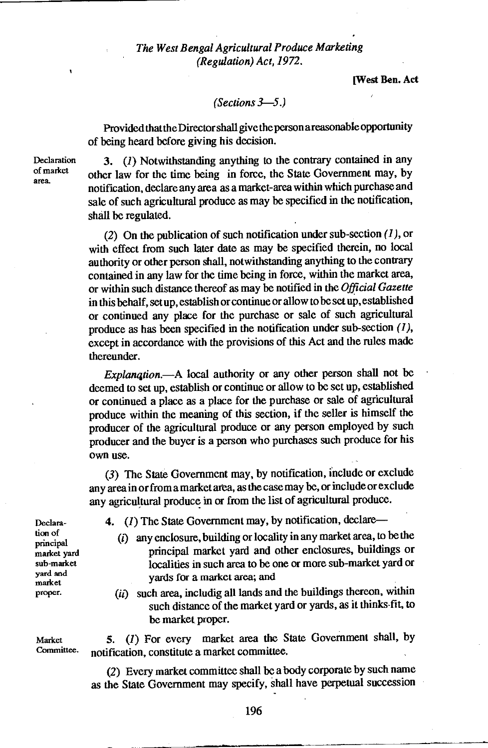[West Ben. Act

#### *(Sections 3-5.)*

Provided thatthe Director shall give the person areasonable opportunity of being heard before giving his decision.

Declaration of market area.

3. *(1)* Notwithstanding anything to the contrary contained in any other law for the time being in force, the State Government may, by notification, declare any area as a market-area within which purchase and sale of such agricultural produce as may be specified in the notification, shall be regulated.

(2) On the publication of such notification under sub-section  $(1)$ , or with effect from such later date as may be specified therein, no local authority or other person shall, notwithstanding anything to the contrary contained in any law for the time being in force, within the market area, or within such distance thereof as may be notified in the *Official Gazette*  in this behalf, setup, establish or continue or allow to be setup, established or continued any place for the purchase or sale of such agricultural produce as has been specified in the notification under sub-section *(1),*  except in accordance with the provisions of this Act and the rules made thereunder.

*Explanqtion.—A* local authority or any other person shall not be deemed to set up, establish or continue or allow to be set up, established or continued a place as a place for the purchase or sale of agricultural produce within the meaning of this section, if the seller is himself the producer of the agricultural produce or any person employed by such producer and the buyer is a person who purchases such produce for his own use.

(3) The State Government may, by notification, include or exclude any area in or from a market area, as the case may be, or include or exclude any agricultural produce in or from the list of agricultural produce.

Declaration of principal market yard sub-market yard and market proper.

**4.** *(1)* The State Government may, by notification, declare—

- (i) any enclosure, building or locality in any market area, to be the principal market yard and other enclosures, buildings or localities in such area to be one or more sub-market yard or yards for a market area; and
- $(ii)$  such area, includig all lands and the buildings thereon, within such distance of the market yard or yards, as it thinks-fit, to be market proper.

Market  $\begin{array}{ll} 5. \end{array}$  (1) For every market area the State Government shall, by Committee. notification, constitute a market committee.

> (2) Every market committee shall be a body corporate by such name as the State Government may specify, shall have perpetual succession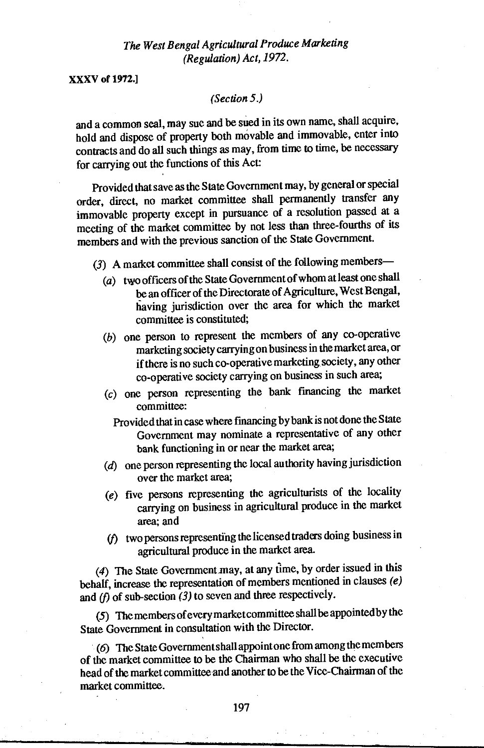XXXV of 1972.]

#### *(Section* 5.)

and a common seal, may sue and be sued in its own name, shall acquire, hold and dispose of property both movable and immovable, enter into contracts and do all such things as may, from time to time, be necessary for carrying out the functions of this Act:

Provided that save as the State Government may, by general or special order, direct, no market committee shall permanently transfer any immovable property except in pursuance of a resolution passed at a meeting of the market committee by not less than three-fourths of its members and with the previous sanction of the State Government.

- (3) A market committee shall consist of the following members—
	- (a) two officers of the State Government of whom at least one shall be an officer of the Directorate of Agriculture, West Bengal, having jurisdiction over the area for which the market committee is constituted;
	- *(b)* one person to represent the members of any co-operative marketing society carrying on business in the market area, or if there is no such co-operative marketing society, any other co-operative society carrying on business in such area;
	- *(c)* one person representing the bank financing the market committee:
		- Provided that in case where fmancing by bank is not done the State Government may nominate a representative of any other bank functioning in or near the market area;
	- (*d*) one person representing the local authority having jurisdiction over the market area;
	- (e) five persons representing the agriculturists of the locality carrying on business in agricultural produce in the market area; and
	- (f) two persons representing the licensed traders doing business in agricultural produce in the market *area.*

*(4)* The State Government may, at any time, by order issued in this behalf, increase the representation of members mentioned in clauses *(e)*  and *(f)* of sub-section *(3)* to seven and three respectively.

(5) The members of every market committee shall be appointed by the State Government in consultation with the Director.

*(6)* The State Government shall appoint one from among the members of the market committee to be the Chairman who shall be the executive head of the market committee and another to be the Vice-Chairman of the market committee.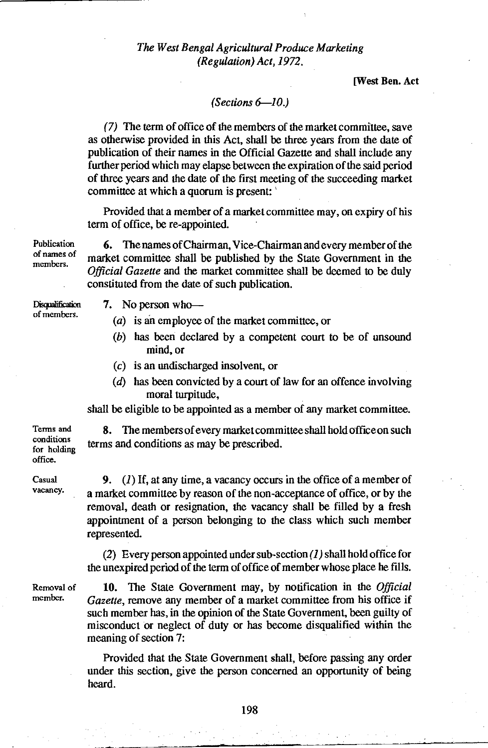**[West Ben. Act** 

#### *(Sections 6-10.)*

*(7)* The term of office of the members of the market committee, save as otherwise provided in this Act, shall be three years from the date of publication of their names in the Official Gazette and shall include any further period which may elapse between the expiration of the said period of three years and the date of the first meeting of the succeeding market committee at which a quorum is present: '

Provided that a member of a market committee may, on expiry of his term of office, be re-appointed.

**6.** The names of Chairman, Vice-Chairman and every member of the market committee shall be published by the State Government in the *Official Gazette* and the market committee shall be deemed to be duly constituted from the date of such publication.

**Disqualification** of members.

Publication of names of members.

- 7. No person who—
	- (a) is an employee of the market committee, or
	- (b) has been declared by a competent court to be of unsound mind, or
	- (c) is an undischarged insolvent, or
	- (d) has been convicted by a court of law for an offence involving moral turpitude,

shall be eligible to be appointed as a member of any market committee.

**8.** The members of every market committee shall hold office on such terms and conditions as may be prescribed.

Casual vacancy.

Terms and conditions for holding office.

> **9.** *(1)* If, at any time, a vacancy occurs in the office of a member of a market committee by reason of the non-acceptance of office, or by the removal, death or resignation, the vacancy shall be filled by a fresh appointment of a person belonging to the class which such member represented.

> (2) Every person appointed under sub-section *(1)* shall hold office for the unexpired period of the term of office of member whose place he fills.

Removal of member.

10. The State Government may, by notification in the *Official Gazette,* remove any member of a market committee from his office if such member has, in the opinion of the State Government, been guilty of misconduct or neglect of duty or has become disqualified within the meaning of section *7:* 

Provided that the State Government shall, before passing any order under this section, give the person concerned an opportunity of being heard.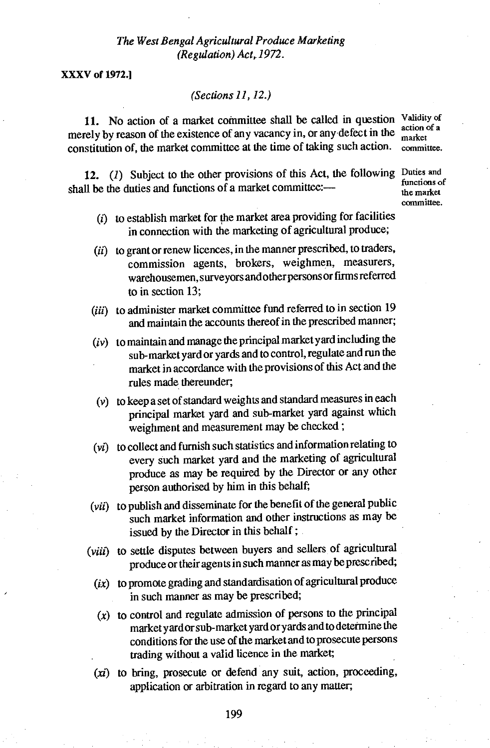**XXXV of 1972.1** 

#### *(Sections 11, 12.)*

**11.** No action of a market committee shall be called in question Validity of a setion of a merely by reason of the existence of any vacancy in, or any defect in the constitution of, the market committee at the time of taking such action. committee.

12. (1) Subject to the other provisions of this Act, the following Duties and shall be the duties and functions of a market committee:—

- $(i)$  to establish market for the market area providing for facilities in connection with the marketing of agricultural produce;
- (ii) to grant or renew licences, in the manner prescribed, to traders, commission agents, brokers, weighmen, measurers, warehousemen, surveyors and other persons or firms referred to in section 13;
- (iii) to administer market committee fund referred to in section 19 and maintain the accounts thereof in the prescribed manner;
- (iv) to maintain and manage the principal market yard including the sub-market yard or yards and to control, regulate and run the market in accordance with the provisions of this Act and the rules made thereunder;
- (v) to keep a set of standard weights and standard measures in each principal market yard and sub-market yard against which weighment and measurement may be checked ;
- (vi) to collect and furnish such statistics and information relating to every such market yard and the marketing of agricultural produce as may be required by the Director or any other person authorised by him in this behalf;
- (vii) to publish and disseminate for the benefit of the general public such market information and other instructions as may be issued by the Director in this behalf ;
- (viii) to settle disputes between buyers and sellers of agricultural produce or their agents in such manner as may be prescribed;
	- $(ix)$  to promote grading and standardisation of agricultural produce in such manner as may be prescribed;
	- $(x)$  to control and regulate admission of persons to the principal market yard or sub-market yard or yards and to determine the conditions for the use of the market and to prosecute persons trading without a valid licence in the market;
	- $(xi)$  to bring, prosecute or defend any suit, action, proceeding, application or arbitration in regard to any matter;

market

functions of the market committee.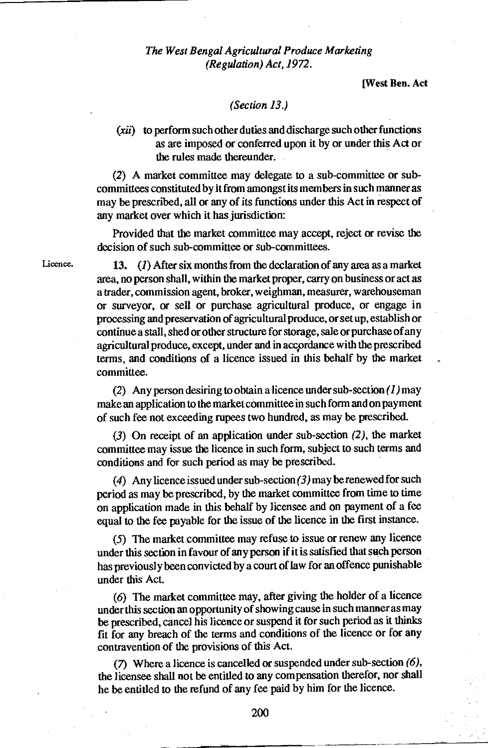[West Ben. Act

#### *(Section 13.)*

(xii) to perform such other duties and discharge such other functions as are imposed or conferred upon it by or under this Act or the rules made thereunder.

(2) A market committee may delegate to a sub-committee or subcommittees constituted by it from amongst its members in such manner as may be prescribed, all or any of its functions under this Act in respect of any market over which it has jurisdiction:

Provided that the market committee may accept, reject or revise the decision of such sub-committee or sub-committees.

Licence.

13. *(1)* After six months from the declaration of any area as a market area, no person shall, within the market proper, carry on business or act as a trader, commission agent, broker, weighman, measurer, warehouseman or surveyor, or sell or purchase agricultural produce, or engage in processing and preservation of agricultural produce, or setup, establish or continue a stall, shed or other structure for storage, sale or purchase of any agricultural produce, except, under and in accoordance with the prescribed terms, and conditions of a licence issued in this behalf by the market committee.

(2) Any person desiring to obtain a licence under sub-section *(1) may*  make an application to the market committee in such form and on payment of such fee not exceeding rupees two hundred, as may be prescribed.

(3) On receipt of an application under sub-section (2), the market committee may issue the licence in such form, subject to such terms and conditions and for such period as may be prescribed.

(4) Any licence issued under sub-section *(3) may* be renewed for such period as may be prescribed, by the market committee from time to time on application made in this behalf by licensee and on payment of a fee equal to the fee payable for the issue of the licence in the first instance.

(5) The market committee may refuse to issue or renew any licence under this section in favour of any person if it is satisfied that such person has previously been convicted by a court of law for an offence punishable under this Act.

(6) The market committee may, after giving the holder of a licence under this section an opportunity of showing cause in such manner as may be prescribed, cancel his licence or suspend it for such period as it thinks fit for any breach of the terms and conditions of the licence or for any contravention of the provisions of this Act.

(7) Where a licence is cancelled or suspended under sub-section *(6),*  the licensee shall not be entitled to any compensation therefor, nor shall he be entitled to the refund of any fee paid by him for the licence.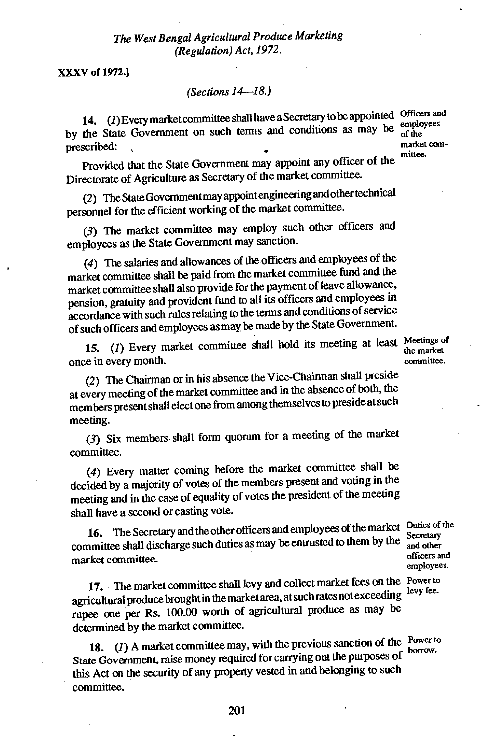201

XXXV of 1972.1

#### *(Sections 14-18.)*

prescribed: 14. *(1)* Every market committee shall have a Secretary to be appointed Officers and by the State Government on such terms and conditions as may be  $_{\rm of the}^{\rm{empo}}$ 

Provided that the State Government may appoint any officer of the Directorate of Agriculture as Secretary of the market committee.

(2) The State Government may appoint engineering andother technical personnel for the efficient working of the market committee.

(3) The market committee may employ such other officers and employees as the State Government may sanction.

(4) The salaries and allowances of the officers and employees of the market committee shall be paid from the market committee fund and the market committee shall also provide for the payment of leave allowance, pension, gratuity and provident fund to all its officers and employees in accordance with such rules relating to the terms and conditions of service of such officers and employees as may be made by the State Government.

15. (1) Every market committee shall hold its meeting at least Meetings of the market once in every month.

the market committee.

(2) The Chairman or in his absence the Vice-Chairman shall preside at every meeting of the market committee and in the absence of both, the members present shall elect one from among themselves to preside at such meeting.

(3) Six members shall form quorum for a meeting of the market committee.

(4) Every matter coming before the market committee shall be decided by a majority of votes of the members present and voting in the meeting and in the case of equality of votes the president of the meeting shall have a second or casting vote.

16. The Secretary and the other officers and employees of the market Duties of the committee shall discharge such duties as may be entrusted to them by the market committee.

17. The market committee shall levy and collect market fees on the Power to agricultural produce brought in the market area, at such rates not exceeding rupee one per Rs. 100.00 worth of agricultural produce as may be determined by the market committee.

18.  $(I)$  A market committee may, with the previous sanction of the Power to borrow. *State Government,* raise money required for carrying out the purposes of this Act on the security of any property vested in and belonging to such committee.

Secretary and other officers and employees.

levy fee.

borrow.

market committee.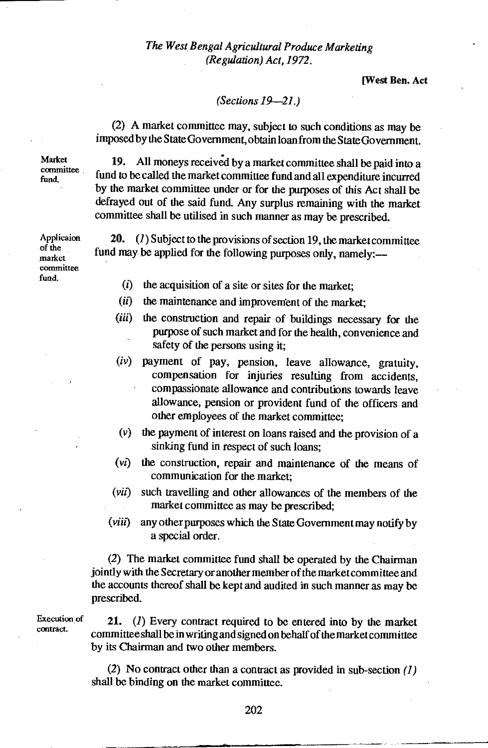[West Ben. Act

#### *(Sections 19-21.)*

(2) A market committee may, subject to such conditions as may be imposed by the State Government, obtain loan from the State Government.

Market committee fund. •

19. All moneys received by a market committee shall be paid into a fund to be called the market committee fund and all expenditure incurred by the market committee under or for the purposes of this Act shall be defrayed out of the said fund. Any surplus remaining with the market committee shall be utilised in such manner as may be prescribed.

20. *(1)Subject* to the provisions of section 19, the market committee fund may be applied for the following purposes only, namely:—

- $(i)$  the acquisition of a site or sites for the market;
- (ii) the maintenance and improvement of the market:
- (iii) the construction and repair of buildings necessary for the purpose of such market and for the health, convenience and safety of the persons using it;
- (iv) payment of pay, pension, leave allowance, gratuity, compensation for injuries resulting from accidents, compassionate allowance and contributions towards leave allowance, pension or provident fund of the officers and other employees of the market committee;
- (v) the payment of interest on loans raised and the provision of a sinking fund in respect of such loans;
- (vi) the construction, repair and maintenance of the means of communication for the market;
- *(viz)* such travelling and other allowances of the members of the market committee as may be prescribed;
- *(viii)* any other purposes which the State Government may notify by a special order.

(2) The market committee fund shall be operated by the Chairman jointly with the Secretary or another member of the market committee and the accounts thereof shall be kept and audited in such manner as may be prescribed.

Execution o contract.

21. *(1)* Every contract required to be entered into by the market committee shall be in writing and signed on behalf of the market committee by its Chairman and two other members.

(2) No contract other than a contract as provided in sub-section *(1)*  shall be binding on the market committee.

Applicaion of the market committee fund.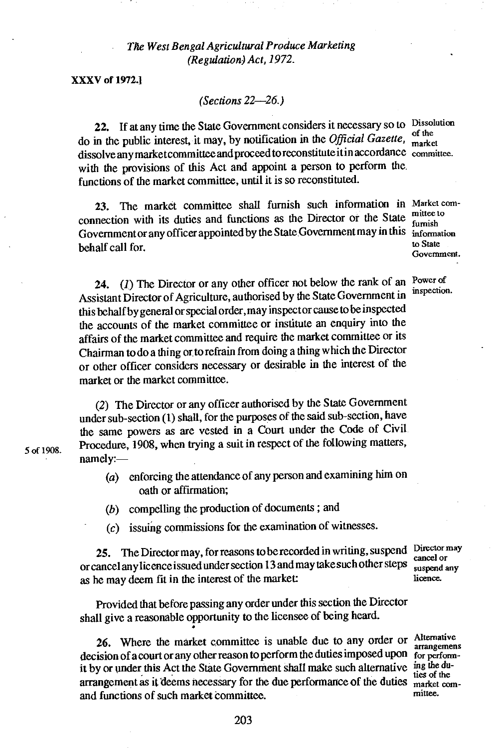**XXXV of 1972.1** 

5 of 1908.

*(Sections 22-26.)* 

22. If at any time the State Government considers it necessary so to Dissolution do in the public interest, it may, by notification in the *Official Gazette*, <sup>ot the</sup> dissolve any market committee and proceed to reconstitute it in accordance committee. with the provisions of this Act and appoint a person to perform the functions of the market committee, until it is so reconstituted.

23. The market committee shall furnish such information in Market comconnection with its duties and functions as the Director or the State Government or any officer appointed by the State Government may in this information<br>hebelf cell for behalf call for.

24. (1) The Director or any other officer not below the rank of an Power of Assistant Director of Agriculture, authorised by the State Government in this behalf by general or special order, may inspect or cause to be inspected the accounts of the market committee or institute an enquiry into the affairs of the market committee and require the market committee or its Chairman to do a thing or to refrain from doing a thing which the Director or other officer considers necessary or desirable in the interest of the market or the market committee.

*(2)* The Director or any officer authorised by the State Government under sub-section (1) shall, for the purposes of the said sub-section, have the same powers as are vested in a Court under the Code of Civil. Procedure, 1908, when trying a suit in respect of the following matters, namely:—

- (a) enforcing the attendance of any person and examining him on oath or affirmation;
- (b) compelling the production of documents ; and
- (c) issuing commissions for the examination of witnesses.

25. The Director may, for reasons to be recorded in writing, suspend Director may or cancel any licence issued under section 13 and may take such other steps cancel or<br>as he may deem fit in the interest of the market:<br>licence. as he may deem fit in the interest of the market:

Provided that before passing any order under this section the Director shall give a reasonable opportunity to the licensee of being heard.

26. Where the market committee is unable due to any order or Alternative arrangements decision of a court or any other reason to perform the duties imposed upon for performit by or under this Act the State Government shall make such alternative ing the duarrangement as it deems necessary for the due performance of the duties market com-<br>and functions of such market committee and functions of such market committee.

famish Government.

inspection.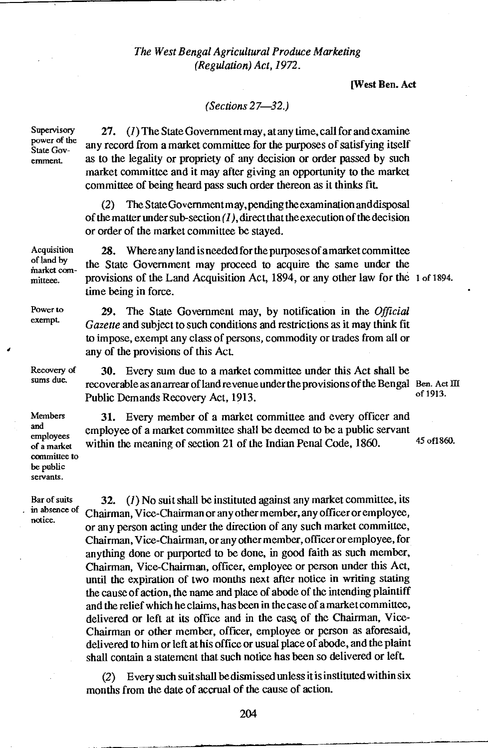#### [West Ben. Act

#### *(Sections 27-32.)*

Supervisory power of the State Government.

Power to exempt.

Recovery of sums due.

Members and employees of a market

be public servants.

27. *(1)* The State Government may, at any time, call for and examine any record from a market committee for the purposes of satisfying itself as to the legality or propriety of any decision or order passed by such market committee and it may after giving an opportunity to the market committee of being heard pass such order thereon as it thinks fit.

(2) The State Government may, pending the examination and disposal of the matter under sub-section *(1),* direct that the execution of the decision or order of the market committee be stayed.

Acquisition 28. Where any land is needed for the purposes of a market committee of land by of land by the State Government may proceed to acquire the same under the market committeee. provisions of the Land Acquisition Act, 1894, or any other law for the 1 of 1894. time being in force.

> 29. The State Government may, by notification in the *Official Gazette* and subject to such conditions and restrictions as it may think fit to impose, exempt any class of persons, commodity or trades from all or any of the provisions of this Act.

30. Every sum due to a market committee under this Act shall be recoverable as an arrear of land revenue under the provisions of the Bengal Ben. Act III<br>Dublic Demanda Beocusty Act 1913 Public Demands Recovery Act, 1913.

committee to 31. Every member of a market committee and every officer and employee of a market committee shall be deemed to be a public servant within the meaning of section 21 of the Indian Penal Code, 1860. 45 of 1860.

Bar of suits 32. *(1)* No suit shall be instituted against any market committee, its in absence of Chairman, Vice-Chairman or any other member, any officer or employee, notice. Chairman, Vice-Chairman or any other member, any officer or employee, or any person acting under the direction of any such market committee, Chairman, Vice-Chairman, or any other member, officer or employee, for anything done or purported to be done, in good faith as such member, Chairman, Vice-Chairman, officer, employee or person under this Act, until the expiration of two months next after notice in writing stating the cause of action, the name and place of abode of the intending plaintiff and the relief which he claims, has been in the case of a market committee, delivered or left at its office and in the casq of the Chairman, Vice-Chairman or other member, officer, employee or person as aforesaid, delivered to him or left at his office or usual place of abode, and the plaint shall contain a statement that such notice has been so delivered or left.

> (2) Every such suit shall be dismissed unless it is instituted within six months from the date of accrual of the cause of action.

> > 204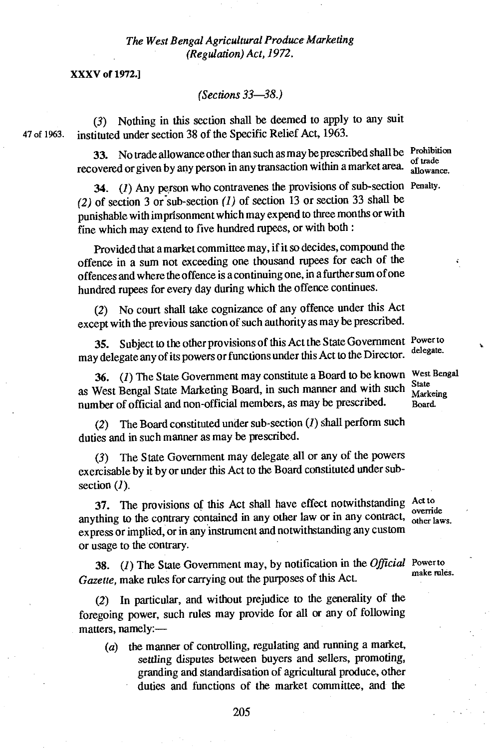XXXV of 1972.1

*(Sections 33-38.)* 

*(3)* Nothing in this section shall be deemed to apply to any suit 47 of 1963. instituted under section 38 of the Specific Relief Act, 1963.

> 33. No trade allowance other than such as may be prescribed shall be Prohibition of trade recovered or given by any person in any transaction within a market area. of trade

34. *(1)* Any person who contravenes the provisions of sub-section Penalty. (2) of section 3 or sub-section *(1)* of section 33 shall be<br>munichable with imprisonment which may expend to three months or with<br>munichable with imprisonment which may expend to three months or with punishable with imprisonment which may expend to three months or with fine which may extend to five hundred rupees, or with both :

Provided that a market committee may, if it so decides, compound the offence in a sum not exceeding one thousand rupees for each of the offences and where the offence is a continuing one, in a further sum of one hundred rupees for every day during which the offence continues.

(2) No court shall take cognizance of any offence under this Act except with the previous sanction of such authority as may be prescribed.

35. Subject to the other provisions of this Act the State Government Power to may delegate any of its powers or functions under this Act to the Director.

36. *(1)* The State Government may constitute a Board to be known as West Bengal State Marketing Board, in such manner and with such number of official and non-official members, as may be prescribed.

(2) The Board constituted under sub-section *(1)* shall perform such duties and in such manner as may be prescribed.

(3) The State Government may delegate all or any of the powers exercisable by it by or under this Act to the Board constituted under subsection *(1).* 

37. The provisions of this Act shall have effect notwithstanding Act to anything to the contrary contained in any other law or in any contract, express or implied, or in any instrument and notwithstanding any custom or usage to the contrary.

38. *(1)* The State Government may, by notification in the *Official* Power to Gazette, make rules for carrying out the purposes of this Act.

(2) In particular, and without prejudice to the generality of the foregoing power, such rules may provide for all or any of following matters, namely:—

*(a)* the manner of controlling, regulating and running a market, settling disputes between buyers and sellers, promoting, granding and standardisation of agricultural produce, other duties and functions of the market committee, and the

delegate.

West Bengal **State** Markeing Board.

override other laws.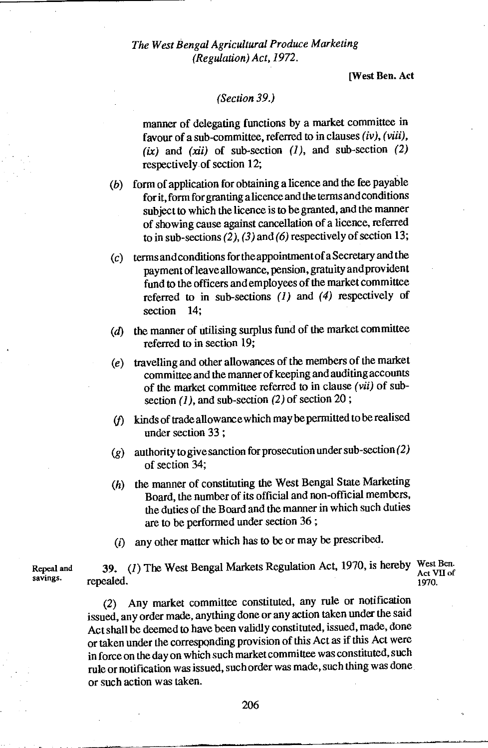[West Ben. Act

#### *(Section 39.)*

manner of delegating functions by a market committee in favour of a sub-committee, referred to in clauses (iv), *(viii),*   $(ix)$  and  $(xii)$  of sub-section  $(1)$ , and sub-section  $(2)$ respectively of section 12;

- (b) form of application for obtaining a licence and the fee payable for it, form for granting a licence and the terms and conditions subject to which the licence is to be granted, and the manner of showing cause against cancellation of a licence, referred to in sub-sections (2), (3) and *(6)* respectively of section 13;
- (c) terms and conditions for the appointment of a Secretary and the payment of leave allowance, pension, gratuity and provident fund to the officers and employees of the market committee referred to in sub-sections *(1)* and *(4)* respectively of section 14:
- $(d)$  the manner of utilising surplus fund of the market committee referred to in section 19;
- (e) travelling and other allowances of the members of the market committee and the manner of keeping and auditing accounts of the market committee referred to in clause *(vii)* of subsection *(1),* and sub-section (2) of section 20 ;
- (f) kinds of trade allowance which may be permitted to be realised under section 33 ;
- ( $g$ ) authority to give sanction for prosecution under sub-section (2) of section 34;
- (h) the manner of constituting the West Bengal State Marketing Board, the number of its official and non-official members, the duties of the Board and the manner in which such duties are to be performed under section 36 ;
- (i) any other matter which has to be or may be prescribed.

Repeal and **39.** *(1)* The West Bengal Markets Regulation Act, 1970, is hereby West Ben.<br>savings. repealed repealed. Act VII of 1970.

> *(2)* Any market committee constituted, any rule or notification issued, any order made, anything done or any action taken under the said Act shall be deemed to have been validly constituted, issued, made, done or taken under the corresponding provision of this Act as if this Act were in force on the day on which such market committee was constituted, such rule or notification was issued, such order was made, such thing was done or such action was taken.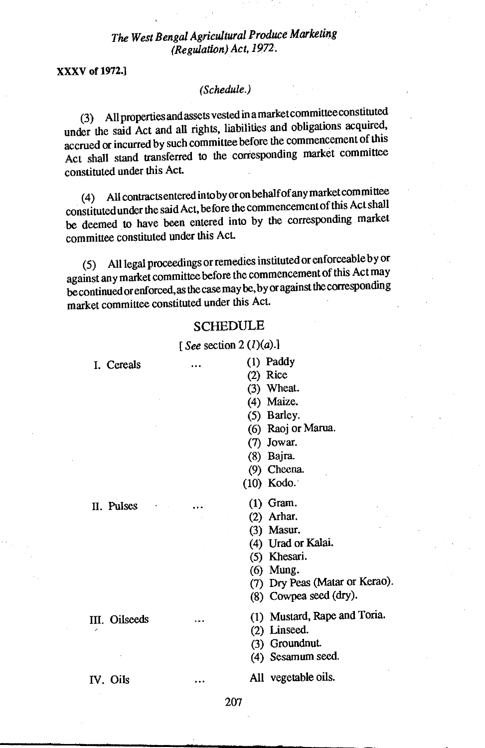XXXV of 1972.1

#### *(Schedule.)*

(3) All properties and assets vested in a market committee constituted under the said Act and all rights, liabilities and obligations acquired, accrued or incurred by such committee before the commencement of this Act shall stand transferred to the corresponding market committee constituted under this Act.

(4) All contracts entered into by or on behalf of any market committee constituted under the said Act, before the commencement of this Act shall be deemed to have been entered into by the corresponding market committee constituted under this Act.

(5) All legal proceedings or remedies instituted or enforceable by or against any market committee before the commencement of this Act may be continued or enforced, as the case may be, by or against the corresponding market committee constituted under this Act.

#### **SCHEDULE**

*[See* section 2 (1)(a).1

- I. Cereals • • (1) Paddy
	- (2) Rice
	- (3) Wheat.
	- (4) Maize.
	- (5) Barley.
	- (6) Raoj or Marua.
	- (7) Jowar.
	- (8) Bajra.
	- (9) Cheena.

(10) Kodo.

- II. Pulses  $\cdots$  (1) Gram.
	- (2) Arhar.
	- (3) Masur.
	- (4) Urad or Kalai.
	- (5) Khesari.
	- (6) Mung.
	- (7) Dry Peas (Matar or Kerao).
	- (8) Cowpea seed (dry).
- III. Oilseeds ... (1) Mustard, Rape and Toria.
	- (2) Linseed.
	- (3) Groundnut.
	- (4) Sesamum seed.

IV. Oils • • • All vegetable oils.

207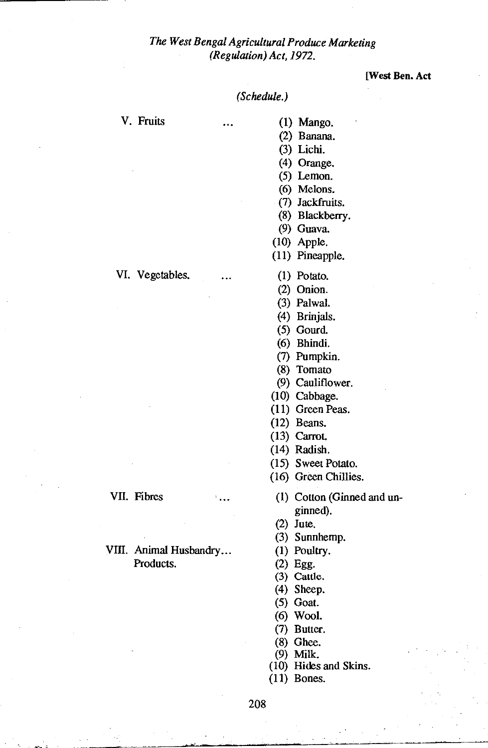**[West Ben. Act** 

#### *(Schedule.)*

- V. Fruits ... (1) Mango.
	- (2) Banana.
	- (3) Lichi.
	- (4) Orange.
	- (5) Lemon.
	- (6) Melons.
	- (7) Jackfruits.
	- (8) Blackberry.
	- (9) Guava.
	- (10) Apple.
	- (11) Pineapple.
	-
	- (2) Onion.
	- (3) Palwal.
	- (4) Brinjals.
	- (5) Gourd.
	- (6) Bhindi.
	- (7) Pumpkin.
	- (8) Tomato
	- (9) Cauliflower.
	- (10) Cabbage.
	- (11) Green Peas.
	- (12) Beans.
	- (13) Carrot.
	- (14) Radish.
	- (15) Sweet Potato.
	- (16) Green Chillies.
- VII. Fibres ... (1) Cotton (Ginned and unginned).
	- (2) Jute.
	- (3) Sunnhemp.<br>(1) Poultry.
	-
	- $(2)$  Egg.
	- (3) Cattle.
	- (4) Sheep.
	- (5) Goat.
	- (6) Wool.
	- (7) Butter.
	- (8) Ghee.
	- (9) Milk.
	- (10) Hides and Skins.
	- (11) Bones.

VI. Vegetables. ... (1) Potato.

# VIII. Animal Husbandry...<br>Products.